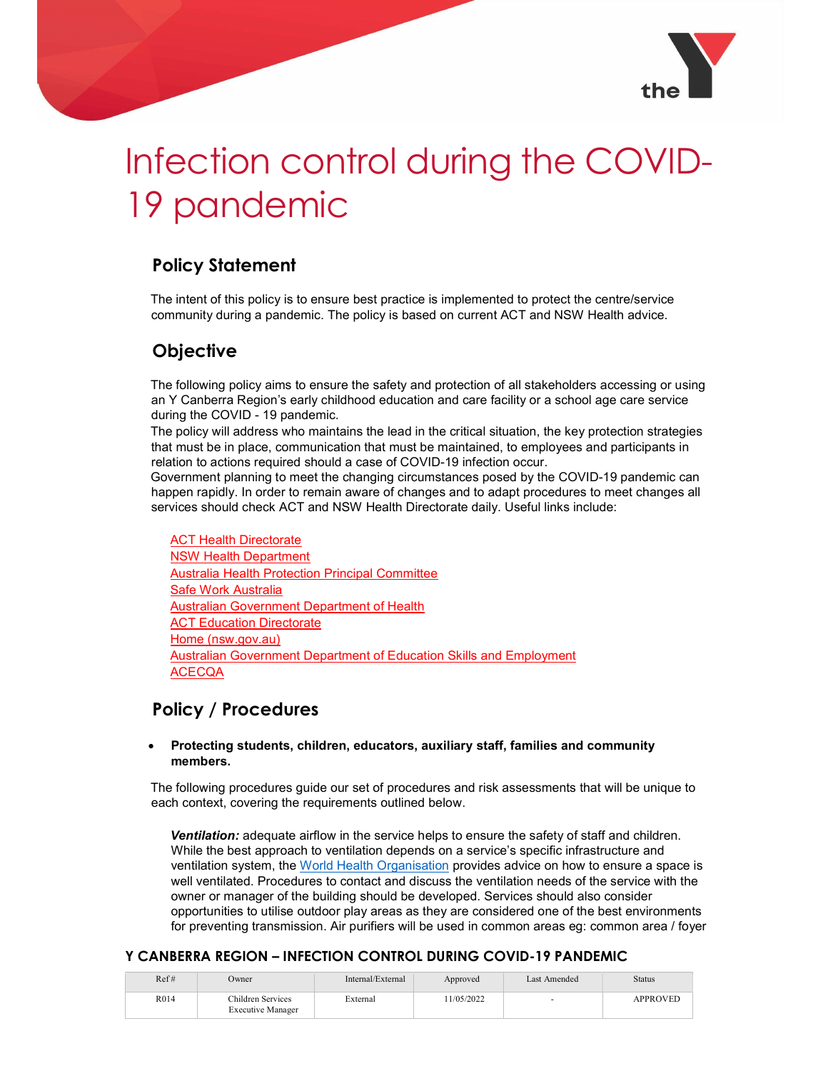

# Infection control during the COVID-19 pandemic

# Policy Statement

The intent of this policy is to ensure best practice is implemented to protect the centre/service community during a pandemic. The policy is based on current ACT and NSW Health advice.

## **Objective**

The following policy aims to ensure the safety and protection of all stakeholders accessing or using an Y Canberra Region's early childhood education and care facility or a school age care service during the COVID - 19 pandemic.

The policy will address who maintains the lead in the critical situation, the key protection strategies that must be in place, communication that must be maintained, to employees and participants in relation to actions required should a case of COVID-19 infection occur.

Government planning to meet the changing circumstances posed by the COVID-19 pandemic can happen rapidly. In order to remain aware of changes and to adapt procedures to meet changes all services should check ACT and NSW Health Directorate daily. Useful links include:

ACT Health Directorate NSW Health Department Australia Health Protection Principal Committee Safe Work Australia Australian Government Department of Health **ACT Education Directorate** Home (nsw.gov.au) **Australian Government Department of Education Skills and Employment ACECQA** 

## Policy / Procedures

#### Protecting students, children, educators, auxiliary staff, families and community members.

The following procedures guide our set of procedures and risk assessments that will be unique to each context, covering the requirements outlined below.

**Ventilation:** adequate airflow in the service helps to ensure the safety of staff and children. While the best approach to ventilation depends on a service's specific infrastructure and ventilation system, the World Health Organisation provides advice on how to ensure a space is well ventilated. Procedures to contact and discuss the ventilation needs of the service with the owner or manager of the building should be developed. Services should also consider opportunities to utilise outdoor play areas as they are considered one of the best environments for preventing transmission. Air purifiers will be used in common areas eg: common area / foyer

| Ref# | Owner                                         | Internal/External | Approved  | Last Amended | <b>Status</b>   |
|------|-----------------------------------------------|-------------------|-----------|--------------|-----------------|
| R014 | Children Services<br><b>Executive Manager</b> | External          | 1/05/2022 |              | <b>APPROVED</b> |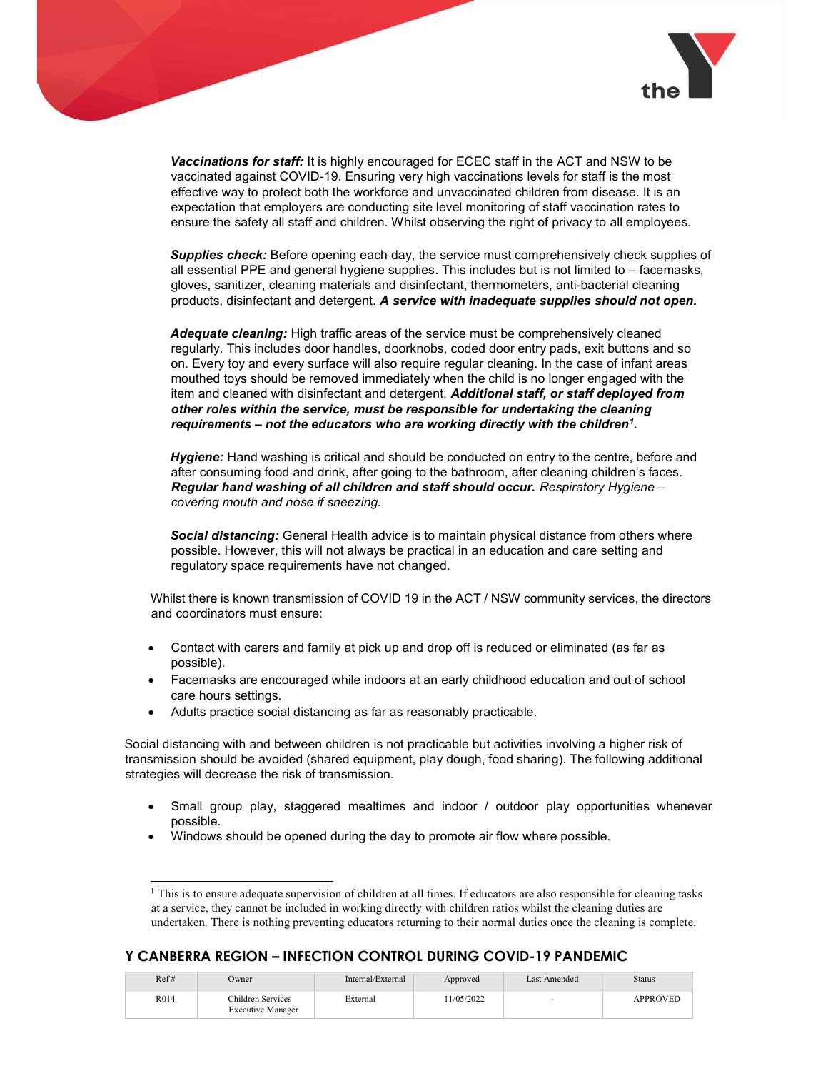

Vaccinations for staff: It is highly encouraged for ECEC staff in the ACT and NSW to be vaccinated against COVID-19. Ensuring very high vaccinations levels for staff is the most effective way to protect both the workforce and unvaccinated children from disease. It is an expectation that employers are conducting site level monitoring of staff vaccination rates to ensure the safety all staff and children. Whilst observing the right of privacy to all employees.

Supplies check: Before opening each day, the service must comprehensively check supplies of all essential PPE and general hygiene supplies. This includes but is not limited to – facemasks, gloves, sanitizer, cleaning materials and disinfectant, thermometers, anti-bacterial cleaning products, disinfectant and detergent. A service with inadequate supplies should not open.

Adequate cleaning: High traffic areas of the service must be comprehensively cleaned regularly. This includes door handles, doorknobs, coded door entry pads, exit buttons and so on. Every toy and every surface will also require regular cleaning. In the case of infant areas mouthed toys should be removed immediately when the child is no longer engaged with the item and cleaned with disinfectant and detergent. Additional staff, or staff deployed from other roles within the service, must be responsible for undertaking the cleaning requirements – not the educators who are working directly with the children<sup>1</sup>.

**Hygiene:** Hand washing is critical and should be conducted on entry to the centre, before and after consuming food and drink, after going to the bathroom, after cleaning children's faces. Regular hand washing of all children and staff should occur. Respiratory Hygiene – covering mouth and nose if sneezing.

Social distancing: General Health advice is to maintain physical distance from others where possible. However, this will not always be practical in an education and care setting and regulatory space requirements have not changed.

Whilst there is known transmission of COVID 19 in the ACT / NSW community services, the directors and coordinators must ensure:

- Contact with carers and family at pick up and drop off is reduced or eliminated (as far as possible).
- Facemasks are encouraged while indoors at an early childhood education and out of school care hours settings.
- Adults practice social distancing as far as reasonably practicable.

j

Social distancing with and between children is not practicable but activities involving a higher risk of transmission should be avoided (shared equipment, play dough, food sharing). The following additional strategies will decrease the risk of transmission.

- Small group play, staggered mealtimes and indoor / outdoor play opportunities whenever possible.
- Windows should be opened during the day to promote air flow where possible.

| Ref# | Owner                                         | Internal/External | Approved  | Last Amended | <b>Status</b>   |
|------|-----------------------------------------------|-------------------|-----------|--------------|-----------------|
| R014 | Children Services<br><b>Executive Manager</b> | External          | 1/05/2022 |              | <b>APPROVED</b> |

<sup>&</sup>lt;sup>1</sup> This is to ensure adequate supervision of children at all times. If educators are also responsible for cleaning tasks at a service, they cannot be included in working directly with children ratios whilst the cleaning duties are undertaken. There is nothing preventing educators returning to their normal duties once the cleaning is complete.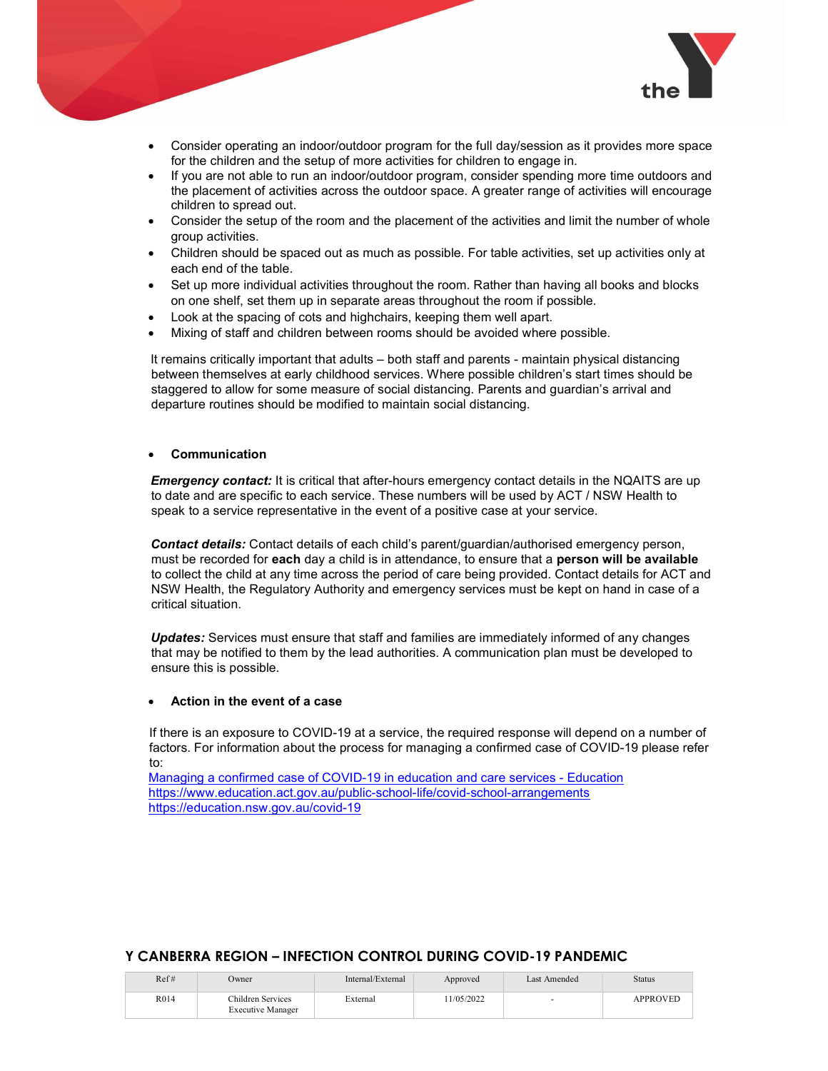

- Consider operating an indoor/outdoor program for the full day/session as it provides more space for the children and the setup of more activities for children to engage in.
- If you are not able to run an indoor/outdoor program, consider spending more time outdoors and the placement of activities across the outdoor space. A greater range of activities will encourage children to spread out.
- Consider the setup of the room and the placement of the activities and limit the number of whole group activities.
- Children should be spaced out as much as possible. For table activities, set up activities only at each end of the table.
- Set up more individual activities throughout the room. Rather than having all books and blocks on one shelf, set them up in separate areas throughout the room if possible.
- Look at the spacing of cots and highchairs, keeping them well apart.
- Mixing of staff and children between rooms should be avoided where possible.

It remains critically important that adults – both staff and parents - maintain physical distancing between themselves at early childhood services. Where possible children's start times should be staggered to allow for some measure of social distancing. Parents and guardian's arrival and departure routines should be modified to maintain social distancing.

#### Communication

**Emergency contact:** It is critical that after-hours emergency contact details in the NQAITS are up to date and are specific to each service. These numbers will be used by ACT / NSW Health to speak to a service representative in the event of a positive case at your service.

Contact details: Contact details of each child's parent/guardian/authorised emergency person, must be recorded for each day a child is in attendance, to ensure that a person will be available to collect the child at any time across the period of care being provided. Contact details for ACT and NSW Health, the Regulatory Authority and emergency services must be kept on hand in case of a critical situation.

Updates: Services must ensure that staff and families are immediately informed of any changes that may be notified to them by the lead authorities. A communication plan must be developed to ensure this is possible.

#### Action in the event of a case

If there is an exposure to COVID-19 at a service, the required response will depend on a number of factors. For information about the process for managing a confirmed case of COVID-19 please refer to:

Managing a confirmed case of COVID-19 in education and care services - Education https://www.education.act.gov.au/public-school-life/covid-school-arrangements https://education.nsw.gov.au/covid-19

| Ref# | Owner                                         | Internal/External | Approved  | Last Amended | <b>Status</b> |
|------|-----------------------------------------------|-------------------|-----------|--------------|---------------|
| R014 | Children Services<br><b>Executive Manager</b> | External          | 1/05/2022 |              | APPROVED      |